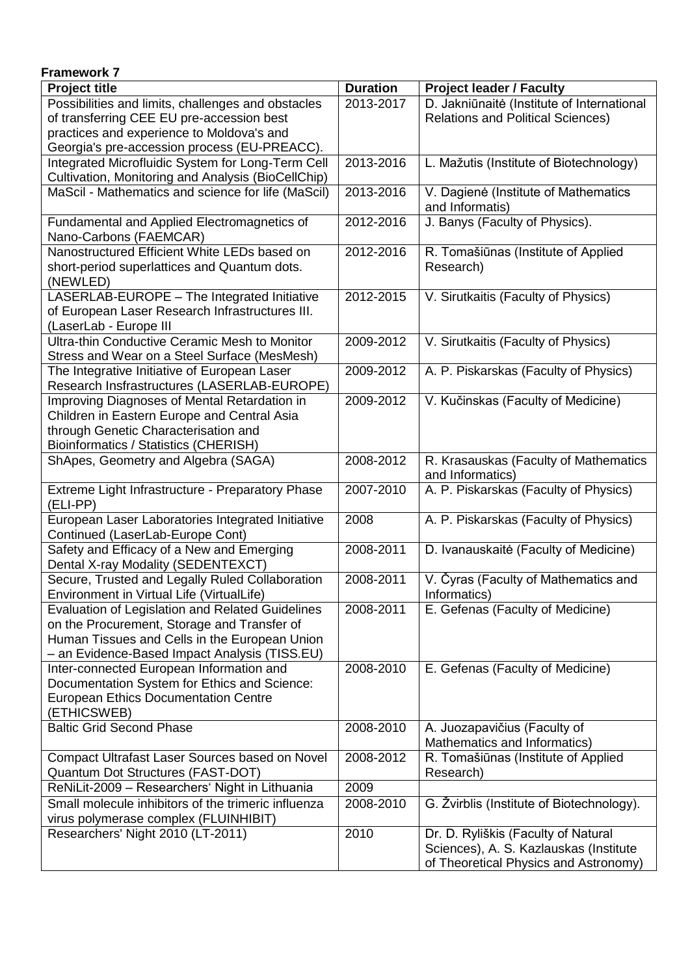| <b>Framework 7</b>                                                                                     |                 |                                                         |  |  |
|--------------------------------------------------------------------------------------------------------|-----------------|---------------------------------------------------------|--|--|
| <b>Project title</b>                                                                                   | <b>Duration</b> | <b>Project leader / Faculty</b>                         |  |  |
| Possibilities and limits, challenges and obstacles                                                     | 2013-2017       | D. Jakniūnaitė (Institute of International              |  |  |
| of transferring CEE EU pre-accession best                                                              |                 | <b>Relations and Political Sciences)</b>                |  |  |
| practices and experience to Moldova's and                                                              |                 |                                                         |  |  |
| Georgia's pre-accession process (EU-PREACC).                                                           |                 |                                                         |  |  |
| Integrated Microfluidic System for Long-Term Cell                                                      | 2013-2016       | L. Mažutis (Institute of Biotechnology)                 |  |  |
| Cultivation, Monitoring and Analysis (BioCellChip)                                                     |                 |                                                         |  |  |
| MaScil - Mathematics and science for life (MaScil)                                                     | 2013-2016       | V. Dagienė (Institute of Mathematics<br>and Informatis) |  |  |
| Fundamental and Applied Electromagnetics of<br>Nano-Carbons (FAEMCAR)                                  | 2012-2016       | J. Banys (Faculty of Physics).                          |  |  |
| Nanostructured Efficient White LEDs based on                                                           | 2012-2016       | R. Tomašiūnas (Institute of Applied                     |  |  |
| short-period superlattices and Quantum dots.<br>(NEWLED)                                               |                 | Research)                                               |  |  |
| LASERLAB-EUROPE - The Integrated Initiative                                                            | 2012-2015       | V. Sirutkaitis (Faculty of Physics)                     |  |  |
| of European Laser Research Infrastructures III.<br>(LaserLab - Europe III                              |                 |                                                         |  |  |
| Ultra-thin Conductive Ceramic Mesh to Monitor<br>Stress and Wear on a Steel Surface (MesMesh)          | 2009-2012       | V. Sirutkaitis (Faculty of Physics)                     |  |  |
| The Integrative Initiative of European Laser<br>Research Insfrastructures (LASERLAB-EUROPE)            | 2009-2012       | A. P. Piskarskas (Faculty of Physics)                   |  |  |
| Improving Diagnoses of Mental Retardation in                                                           | 2009-2012       | V. Kučinskas (Faculty of Medicine)                      |  |  |
| Children in Eastern Europe and Central Asia                                                            |                 |                                                         |  |  |
| through Genetic Characterisation and                                                                   |                 |                                                         |  |  |
| Bioinformatics / Statistics (CHERISH)                                                                  |                 |                                                         |  |  |
| ShApes, Geometry and Algebra (SAGA)                                                                    | 2008-2012       | R. Krasauskas (Faculty of Mathematics                   |  |  |
|                                                                                                        |                 | and Informatics)                                        |  |  |
| Extreme Light Infrastructure - Preparatory Phase<br>(ELI-PP)                                           | 2007-2010       | A. P. Piskarskas (Faculty of Physics)                   |  |  |
| European Laser Laboratories Integrated Initiative                                                      | 2008            | A. P. Piskarskas (Faculty of Physics)                   |  |  |
| Continued (LaserLab-Europe Cont)<br>Safety and Efficacy of a New and Emerging                          | 2008-2011       |                                                         |  |  |
| Dental X-ray Modality (SEDENTEXCT)                                                                     |                 | D. Ivanauskaitė (Faculty of Medicine)                   |  |  |
| Secure, Trusted and Legally Ruled Collaboration<br>Environment in Virtual Life (VirtualLife)           | 2008-2011       | V. Čyras (Faculty of Mathematics and<br>Informatics)    |  |  |
| <b>Evaluation of Legislation and Related Guidelines</b><br>on the Procurement, Storage and Transfer of | 2008-2011       | E. Gefenas (Faculty of Medicine)                        |  |  |
| Human Tissues and Cells in the European Union                                                          |                 |                                                         |  |  |
| - an Evidence-Based Impact Analysis (TISS.EU)                                                          |                 |                                                         |  |  |
| Inter-connected European Information and                                                               | 2008-2010       | E. Gefenas (Faculty of Medicine)                        |  |  |
| Documentation System for Ethics and Science:                                                           |                 |                                                         |  |  |
| <b>European Ethics Documentation Centre</b>                                                            |                 |                                                         |  |  |
| (ETHICSWEB)                                                                                            |                 |                                                         |  |  |
| <b>Baltic Grid Second Phase</b>                                                                        | 2008-2010       | A. Juozapavičius (Faculty of                            |  |  |
|                                                                                                        |                 | Mathematics and Informatics)                            |  |  |
| Compact Ultrafast Laser Sources based on Novel<br>Quantum Dot Structures (FAST-DOT)                    | 2008-2012       | R. Tomašiūnas (Institute of Applied<br>Research)        |  |  |
| ReNiLit-2009 - Researchers' Night in Lithuania                                                         | 2009            |                                                         |  |  |
| Small molecule inhibitors of the trimeric influenza                                                    | 2008-2010       | G. Žvirblis (Institute of Biotechnology).               |  |  |
| virus polymerase complex (FLUINHIBIT)                                                                  |                 |                                                         |  |  |
| Researchers' Night 2010 (LT-2011)                                                                      | 2010            | Dr. D. Ryliškis (Faculty of Natural                     |  |  |
|                                                                                                        |                 | Sciences), A. S. Kazlauskas (Institute                  |  |  |
|                                                                                                        |                 | of Theoretical Physics and Astronomy)                   |  |  |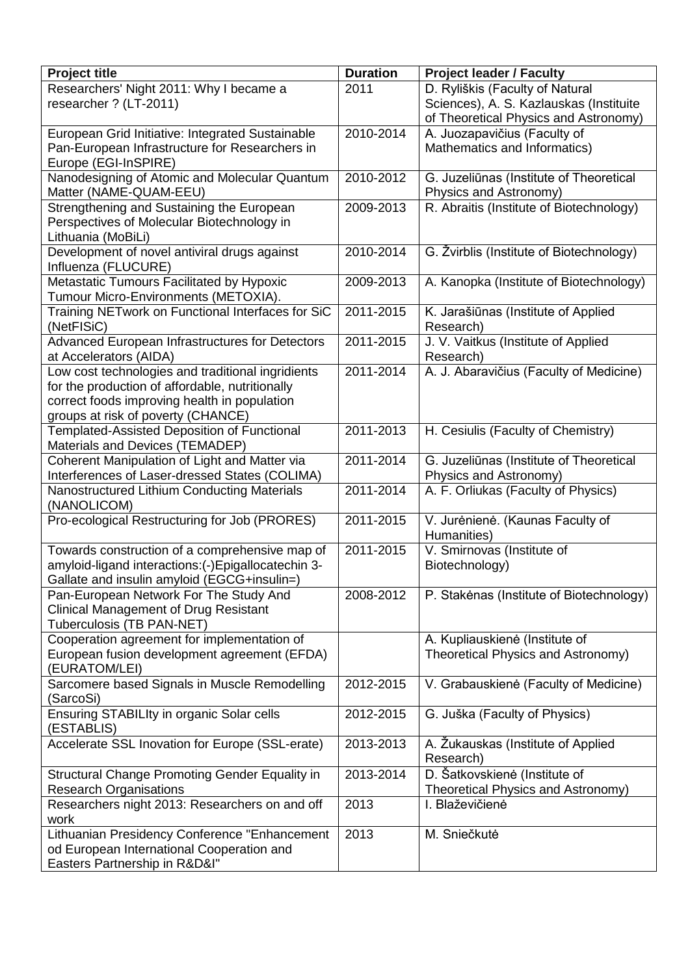| <b>Project title</b>                                                              | <b>Duration</b> | <b>Project leader / Faculty</b>          |
|-----------------------------------------------------------------------------------|-----------------|------------------------------------------|
| Researchers' Night 2011: Why I became a                                           | 2011            | D. Ryliškis (Faculty of Natural          |
| researcher ? (LT-2011)                                                            |                 | Sciences), A. S. Kazlauskas (Instituite  |
|                                                                                   |                 | of Theoretical Physics and Astronomy)    |
| European Grid Initiative: Integrated Sustainable                                  | 2010-2014       | A. Juozapavičius (Faculty of             |
| Pan-European Infrastructure for Researchers in                                    |                 | Mathematics and Informatics)             |
| Europe (EGI-InSPIRE)                                                              |                 |                                          |
| Nanodesigning of Atomic and Molecular Quantum                                     | 2010-2012       | G. Juzeliūnas (Institute of Theoretical  |
| Matter (NAME-QUAM-EEU)                                                            |                 | Physics and Astronomy)                   |
| Strengthening and Sustaining the European                                         | 2009-2013       | R. Abraitis (Institute of Biotechnology) |
| Perspectives of Molecular Biotechnology in                                        |                 |                                          |
| Lithuania (MoBiLi)                                                                |                 |                                          |
| Development of novel antiviral drugs against                                      | 2010-2014       | G. Žvirblis (Institute of Biotechnology) |
| Influenza (FLUCURE)                                                               |                 |                                          |
| Metastatic Tumours Facilitated by Hypoxic                                         | 2009-2013       | A. Kanopka (Institute of Biotechnology)  |
| Tumour Micro-Environments (METOXIA).                                              |                 |                                          |
| Training NETwork on Functional Interfaces for SiC                                 | 2011-2015       | K. Jarašiūnas (Institute of Applied      |
| (NetFISiC)                                                                        |                 | Research)                                |
| Advanced European Infrastructures for Detectors                                   | 2011-2015       | J. V. Vaitkus (Institute of Applied      |
| at Accelerators (AIDA)                                                            |                 | Research)                                |
| Low cost technologies and traditional ingridients                                 | 2011-2014       | A. J. Abaravičius (Faculty of Medicine)  |
| for the production of affordable, nutritionally                                   |                 |                                          |
| correct foods improving health in population                                      |                 |                                          |
| groups at risk of poverty (CHANCE)<br>Templated-Assisted Deposition of Functional | 2011-2013       | H. Cesiulis (Faculty of Chemistry)       |
| Materials and Devices (TEMADEP)                                                   |                 |                                          |
| Coherent Manipulation of Light and Matter via                                     | 2011-2014       | G. Juzeliūnas (Institute of Theoretical  |
| Interferences of Laser-dressed States (COLIMA)                                    |                 | Physics and Astronomy)                   |
| Nanostructured Lithium Conducting Materials                                       | 2011-2014       | A. F. Orliukas (Faculty of Physics)      |
| (NANOLICOM)                                                                       |                 |                                          |
| Pro-ecological Restructuring for Job (PRORES)                                     | 2011-2015       | V. Jurėnienė. (Kaunas Faculty of         |
|                                                                                   |                 | Humanities)                              |
| Towards construction of a comprehensive map of                                    | 2011-2015       | V. Smirnovas (Institute of               |
| amyloid-ligand interactions: (-)Epigallocatechin 3-                               |                 | Biotechnology)                           |
| Gallate and insulin amyloid (EGCG+insulin=)                                       |                 |                                          |
| Pan-European Network For The Study And                                            | 2008-2012       | P. Stakenas (Institute of Biotechnology) |
| <b>Clinical Management of Drug Resistant</b>                                      |                 |                                          |
| Tuberculosis (TB PAN-NET)                                                         |                 |                                          |
| Cooperation agreement for implementation of                                       |                 | A. Kupliauskienė (Institute of           |
| European fusion development agreement (EFDA)                                      |                 | Theoretical Physics and Astronomy)       |
| (EURATOM/LEI)                                                                     |                 |                                          |
| Sarcomere based Signals in Muscle Remodelling                                     | 2012-2015       | V. Grabauskienė (Faculty of Medicine)    |
| (SarcoSi)                                                                         |                 |                                          |
| Ensuring STABILIty in organic Solar cells                                         | 2012-2015       | G. Juška (Faculty of Physics)            |
| (ESTABLIS)                                                                        |                 |                                          |
| Accelerate SSL Inovation for Europe (SSL-erate)                                   | 2013-2013       | A. Žukauskas (Institute of Applied       |
|                                                                                   |                 | Research)                                |
| <b>Structural Change Promoting Gender Equality in</b>                             | 2013-2014       | D. Šatkovskienė (Institute of            |
| <b>Research Organisations</b>                                                     |                 | Theoretical Physics and Astronomy)       |
| Researchers night 2013: Researchers on and off                                    | 2013            | I. Blaževičienė                          |
| work                                                                              |                 |                                          |
| Lithuanian Presidency Conference "Enhancement                                     | 2013            | M. Sniečkutė                             |
| od European International Cooperation and                                         |                 |                                          |
| Easters Partnership in R&D&I"                                                     |                 |                                          |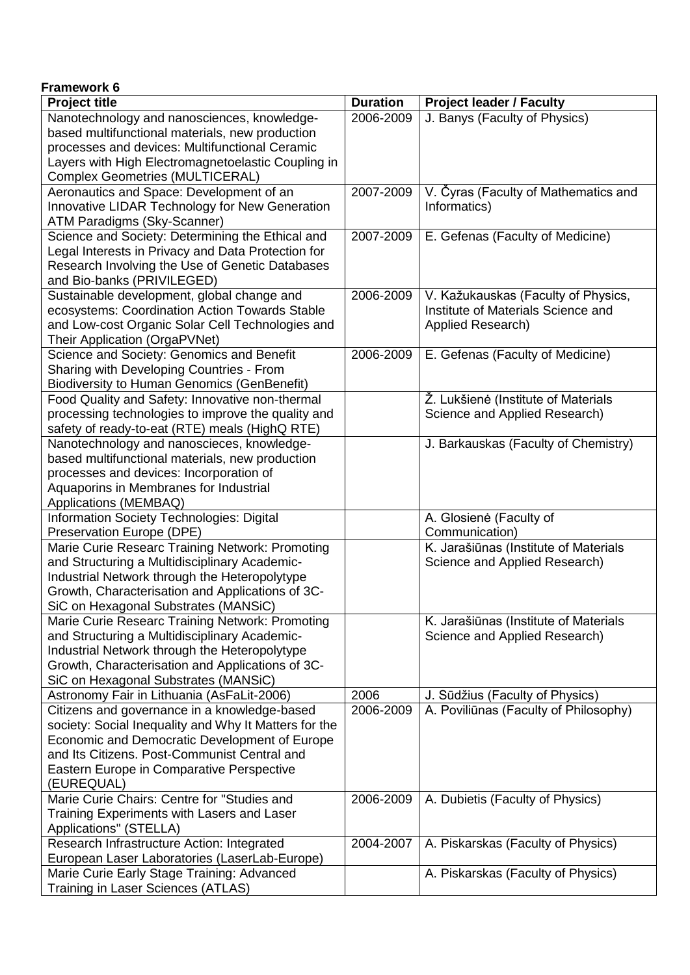| <b>Framework 6</b>                                                     |                 |                                           |
|------------------------------------------------------------------------|-----------------|-------------------------------------------|
| <b>Project title</b>                                                   | <b>Duration</b> | <b>Project leader / Faculty</b>           |
| Nanotechnology and nanosciences, knowledge-                            | 2006-2009       | J. Banys (Faculty of Physics)             |
| based multifunctional materials, new production                        |                 |                                           |
| processes and devices: Multifunctional Ceramic                         |                 |                                           |
| Layers with High Electromagnetoelastic Coupling in                     |                 |                                           |
| <b>Complex Geometries (MULTICERAL)</b>                                 |                 |                                           |
| Aeronautics and Space: Development of an                               | 2007-2009       | V. Čyras (Faculty of Mathematics and      |
| Innovative LIDAR Technology for New Generation                         |                 | Informatics)                              |
| ATM Paradigms (Sky-Scanner)                                            |                 |                                           |
| Science and Society: Determining the Ethical and                       | 2007-2009       | E. Gefenas (Faculty of Medicine)          |
| Legal Interests in Privacy and Data Protection for                     |                 |                                           |
| Research Involving the Use of Genetic Databases                        |                 |                                           |
| and Bio-banks (PRIVILEGED)                                             |                 |                                           |
| Sustainable development, global change and                             | 2006-2009       | V. Kažukauskas (Faculty of Physics,       |
| ecosystems: Coordination Action Towards Stable                         |                 | Institute of Materials Science and        |
| and Low-cost Organic Solar Cell Technologies and                       |                 | Applied Research)                         |
| Their Application (OrgaPVNet)                                          |                 |                                           |
| Science and Society: Genomics and Benefit                              | 2006-2009       | E. Gefenas (Faculty of Medicine)          |
| Sharing with Developing Countries - From                               |                 |                                           |
| <b>Biodiversity to Human Genomics (GenBenefit)</b>                     |                 |                                           |
| Food Quality and Safety: Innovative non-thermal                        |                 | Ž. Lukšienė (Institute of Materials       |
| processing technologies to improve the quality and                     |                 | Science and Applied Research)             |
| safety of ready-to-eat (RTE) meals (HighQ RTE)                         |                 |                                           |
| Nanotechnology and nanoscieces, knowledge-                             |                 | J. Barkauskas (Faculty of Chemistry)      |
| based multifunctional materials, new production                        |                 |                                           |
| processes and devices: Incorporation of                                |                 |                                           |
| Aquaporins in Membranes for Industrial                                 |                 |                                           |
| Applications (MEMBAQ)                                                  |                 |                                           |
| Information Society Technologies: Digital<br>Preservation Europe (DPE) |                 | A. Glosienė (Faculty of<br>Communication) |
| Marie Curie Researc Training Network: Promoting                        |                 | K. Jarašiūnas (Institute of Materials     |
| and Structuring a Multidisciplinary Academic-                          |                 | Science and Applied Research)             |
| Industrial Network through the Heteropolytype                          |                 |                                           |
| Growth, Characterisation and Applications of 3C-                       |                 |                                           |
| SiC on Hexagonal Substrates (MANSiC)                                   |                 |                                           |
| Marie Curie Researc Training Network: Promoting                        |                 | K. Jarašiūnas (Institute of Materials     |
| and Structuring a Multidisciplinary Academic-                          |                 | Science and Applied Research)             |
| Industrial Network through the Heteropolytype                          |                 |                                           |
| Growth, Characterisation and Applications of 3C-                       |                 |                                           |
| SiC on Hexagonal Substrates (MANSiC)                                   |                 |                                           |
| Astronomy Fair in Lithuania (AsFaLit-2006)                             | 2006            | J. Sūdžius (Faculty of Physics)           |
| Citizens and governance in a knowledge-based                           | 2006-2009       | A. Poviliūnas (Faculty of Philosophy)     |
| society: Social Inequality and Why It Matters for the                  |                 |                                           |
| Economic and Democratic Development of Europe                          |                 |                                           |
| and Its Citizens. Post-Communist Central and                           |                 |                                           |
| Eastern Europe in Comparative Perspective                              |                 |                                           |
| (EUREQUAL)                                                             |                 |                                           |
| Marie Curie Chairs: Centre for "Studies and                            | 2006-2009       | A. Dubietis (Faculty of Physics)          |
| Training Experiments with Lasers and Laser                             |                 |                                           |
| Applications" (STELLA)                                                 |                 |                                           |
| Research Infrastructure Action: Integrated                             | 2004-2007       | A. Piskarskas (Faculty of Physics)        |
| European Laser Laboratories (LaserLab-Europe)                          |                 |                                           |
| Marie Curie Early Stage Training: Advanced                             |                 | A. Piskarskas (Faculty of Physics)        |
| Training in Laser Sciences (ATLAS)                                     |                 |                                           |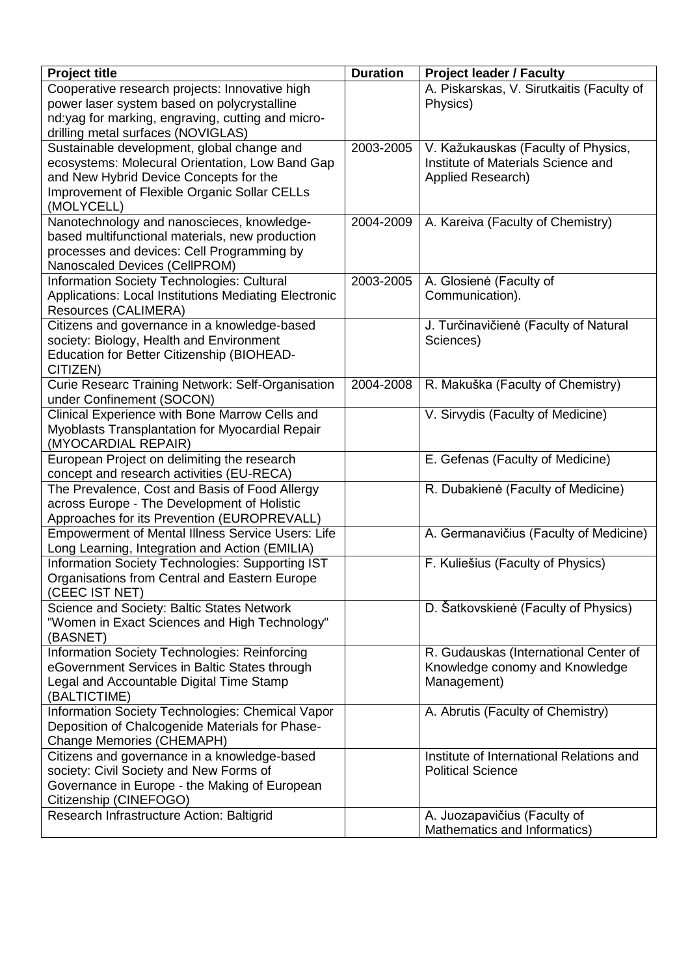| <b>Project title</b>                                                                          | <b>Duration</b> | <b>Project leader / Faculty</b>           |
|-----------------------------------------------------------------------------------------------|-----------------|-------------------------------------------|
| Cooperative research projects: Innovative high                                                |                 | A. Piskarskas, V. Sirutkaitis (Faculty of |
| power laser system based on polycrystalline                                                   |                 | Physics)                                  |
| nd:yag for marking, engraving, cutting and micro-                                             |                 |                                           |
| drilling metal surfaces (NOVIGLAS)<br>Sustainable development, global change and              | 2003-2005       | V. Kažukauskas (Faculty of Physics,       |
| ecosystems: Molecural Orientation, Low Band Gap                                               |                 | Institute of Materials Science and        |
| and New Hybrid Device Concepts for the                                                        |                 | Applied Research)                         |
| Improvement of Flexible Organic Sollar CELLs                                                  |                 |                                           |
| (MOLYCELL)                                                                                    |                 |                                           |
| Nanotechnology and nanoscieces, knowledge-                                                    | 2004-2009       | A. Kareiva (Faculty of Chemistry)         |
| based multifunctional materials, new production                                               |                 |                                           |
| processes and devices: Cell Programming by                                                    |                 |                                           |
| Nanoscaled Devices (CellPROM)                                                                 |                 |                                           |
| Information Society Technologies: Cultural                                                    | 2003-2005       | A. Glosienė (Faculty of                   |
| Applications: Local Institutions Mediating Electronic                                         |                 | Communication).                           |
| Resources (CALIMERA)                                                                          |                 |                                           |
| Citizens and governance in a knowledge-based                                                  |                 | J. Turčinavičienė (Faculty of Natural     |
| society: Biology, Health and Environment                                                      |                 | Sciences)                                 |
| Education for Better Citizenship (BIOHEAD-                                                    |                 |                                           |
| CITIZEN)                                                                                      |                 |                                           |
| Curie Researc Training Network: Self-Organisation                                             | 2004-2008       | R. Makuška (Faculty of Chemistry)         |
| under Confinement (SOCON)                                                                     |                 |                                           |
| Clinical Experience with Bone Marrow Cells and                                                |                 | V. Sirvydis (Faculty of Medicine)         |
| Myoblasts Transplantation for Myocardial Repair                                               |                 |                                           |
| (MYOCARDIAL REPAIR)                                                                           |                 |                                           |
| European Project on delimiting the research                                                   |                 | E. Gefenas (Faculty of Medicine)          |
| concept and research activities (EU-RECA)                                                     |                 |                                           |
| The Prevalence, Cost and Basis of Food Allergy<br>across Europe - The Development of Holistic |                 | R. Dubakienė (Faculty of Medicine)        |
| Approaches for its Prevention (EUROPREVALL)                                                   |                 |                                           |
| <b>Empowerment of Mental Illness Service Users: Life</b>                                      |                 | A. Germanavičius (Faculty of Medicine)    |
| Long Learning, Integration and Action (EMILIA)                                                |                 |                                           |
| Information Society Technologies: Supporting IST                                              |                 | F. Kuliešius (Faculty of Physics)         |
| Organisations from Central and Eastern Europe                                                 |                 |                                           |
| (CEEC IST NET)                                                                                |                 |                                           |
| Science and Society: Baltic States Network                                                    |                 | D. Šatkovskienė (Faculty of Physics)      |
| "Women in Exact Sciences and High Technology"                                                 |                 |                                           |
| (BASNET)                                                                                      |                 |                                           |
| Information Society Technologies: Reinforcing                                                 |                 | R. Gudauskas (International Center of     |
| eGovernment Services in Baltic States through                                                 |                 | Knowledge conomy and Knowledge            |
| Legal and Accountable Digital Time Stamp                                                      |                 | Management)                               |
| (BALTICTIME)                                                                                  |                 |                                           |
| Information Society Technologies: Chemical Vapor                                              |                 | A. Abrutis (Faculty of Chemistry)         |
| Deposition of Chalcogenide Materials for Phase-                                               |                 |                                           |
| Change Memories (CHEMAPH)                                                                     |                 |                                           |
| Citizens and governance in a knowledge-based                                                  |                 | Institute of International Relations and  |
| society: Civil Society and New Forms of                                                       |                 | <b>Political Science</b>                  |
| Governance in Europe - the Making of European<br>Citizenship (CINEFOGO)                       |                 |                                           |
| Research Infrastructure Action: Baltigrid                                                     |                 | A. Juozapavičius (Faculty of              |
|                                                                                               |                 | Mathematics and Informatics)              |